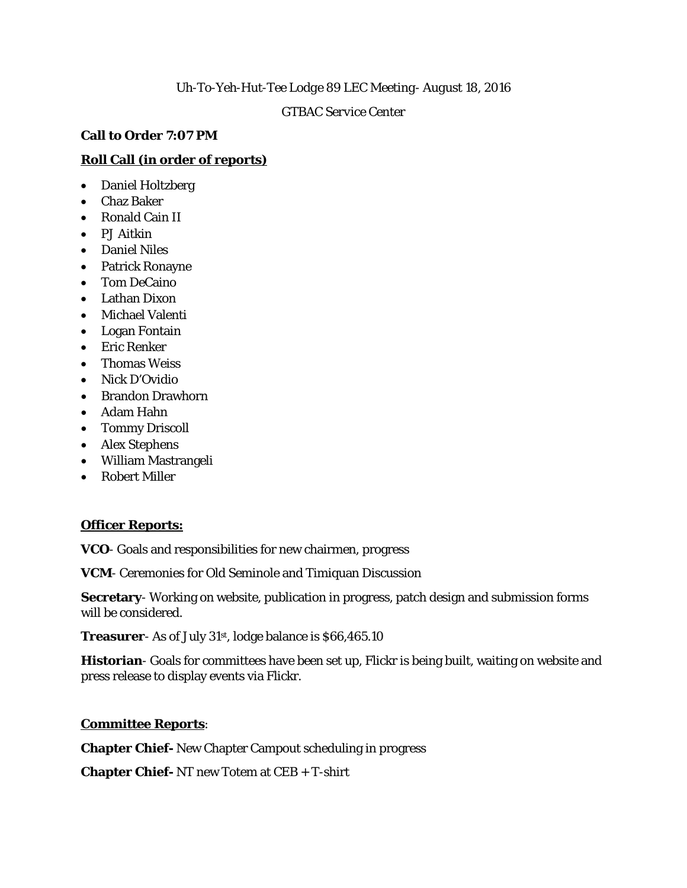### *Uh-To-Yeh-Hut-Tee Lodge 89 LEC Meeting- August 18, 2016*

### *GTBAC Service Center*

## **Call to Order 7:07 PM**

# **Roll Call (in order of reports)**

- Daniel Holtzberg
- Chaz Baker
- Ronald Cain II
- PJ Aitkin
- Daniel Niles
- Patrick Ronayne
- Tom DeCaino
- Lathan Dixon
- Michael Valenti
- Logan Fontain
- Eric Renker
- Thomas Weiss
- Nick D'Ovidio
- Brandon Drawhorn
- Adam Hahn
- Tommy Driscoll
- Alex Stephens
- William Mastrangeli
- Robert Miller

# **Officer Reports:**

**VCO**- Goals and responsibilities for new chairmen, progress

**VCM**- Ceremonies for Old Seminole and Timiquan Discussion

**Secretary**- Working on website, publication in progress, patch design and submission forms will be considered.

**Treasurer**- As of July 31<sup>st</sup>, lodge balance is \$66,465.10

**Historian**- Goals for committees have been set up, Flickr is being built, waiting on website and press release to display events via Flickr.

## **Committee Reports**:

**Chapter Chief-** New Chapter Campout scheduling in progress

**Chapter Chief-** NT new Totem at CEB + T-shirt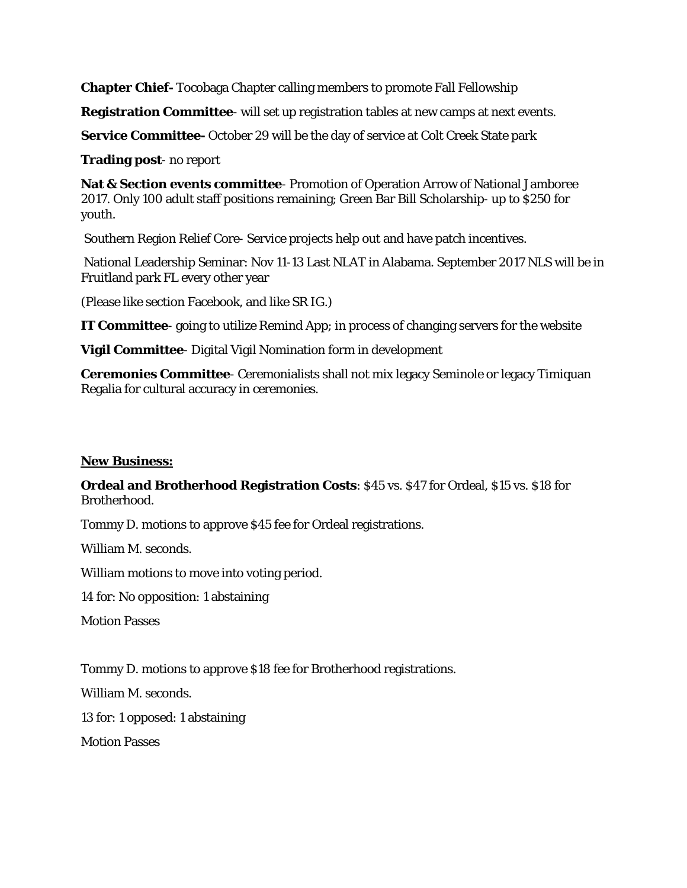**Chapter Chief-** Tocobaga Chapter calling members to promote Fall Fellowship

**Registration Committee**- will set up registration tables at new camps at next events.

**Service Committee-** October 29 will be the day of service at Colt Creek State park

**Trading post**- no report

**Nat & Section events committee**- Promotion of Operation Arrow of National Jamboree 2017. Only 100 adult staff positions remaining; Green Bar Bill Scholarship- up to \$250 for youth.

Southern Region Relief Core- Service projects help out and have patch incentives.

National Leadership Seminar: Nov 11-13 Last NLAT in Alabama. September 2017 NLS will be in Fruitland park FL every other year

(Please like section Facebook, and like SR IG.)

**IT Committee**- going to utilize Remind App; in process of changing servers for the website

**Vigil Committee**- Digital Vigil Nomination form in development

**Ceremonies Committee**- Ceremonialists shall not mix legacy Seminole or legacy Timiquan Regalia for cultural accuracy in ceremonies.

#### **New Business:**

**Ordeal and Brotherhood Registration Costs**: \$45 vs. \$47 for Ordeal, \$15 vs. \$18 for Brotherhood.

Tommy D. motions to approve \$45 fee for Ordeal registrations.

William M. seconds.

William motions to move into voting period.

14 for: No opposition: 1 abstaining

Motion Passes

Tommy D. motions to approve \$18 fee for Brotherhood registrations.

William M. seconds.

13 for: 1 opposed: 1 abstaining

Motion Passes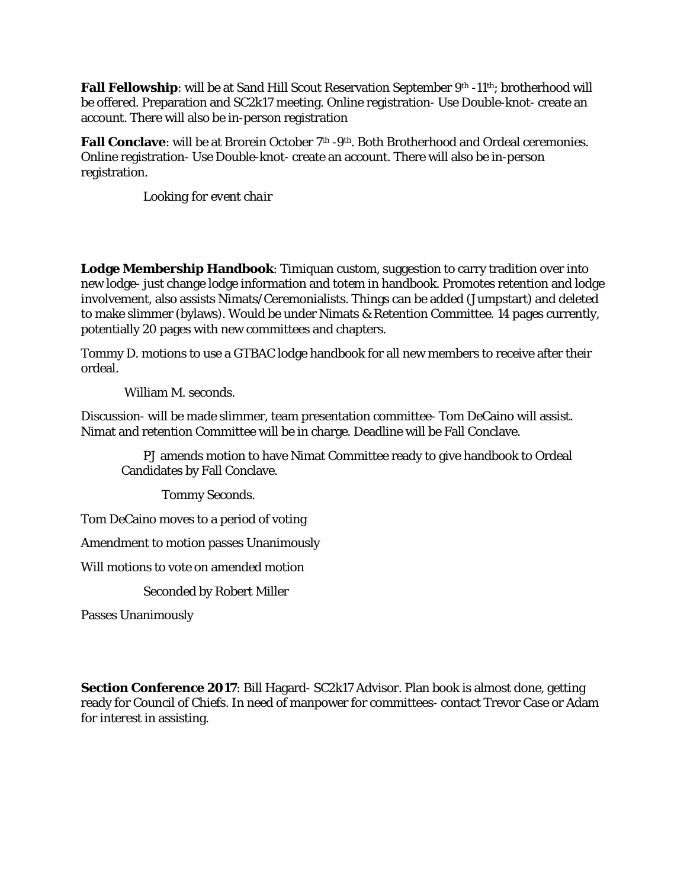**Fall Fellowship**: will be at Sand Hill Scout Reservation September 9<sup>th</sup> -11<sup>th</sup>; brotherhood will be offered. Preparation and SC2k17 meeting. Online registration- Use Double-knot- create an account. There will also be in-person registration

Fall Conclave: will be at Brorein October 7<sup>th</sup> -9<sup>th</sup>. Both Brotherhood and Ordeal ceremonies. Online registration- Use Double-knot- create an account. There will also be in-person registration.

*Looking for event chair*

**Lodge Membership Handbook**: Timiquan custom, suggestion to carry tradition over into new lodge- just change lodge information and totem in handbook. Promotes retention and lodge involvement, also assists Nimats/Ceremonialists. Things can be added (Jumpstart) and deleted to make slimmer (bylaws). Would be under Nimats & Retention Committee. 14 pages currently, potentially 20 pages with new committees and chapters.

Tommy D. motions to use a GTBAC lodge handbook for all new members to receive after their ordeal.

William M. seconds.

Discussion- will be made slimmer, team presentation committee- Tom DeCaino will assist. Nimat and retention Committee will be in charge. Deadline will be Fall Conclave.

PJ amends motion to have Nimat Committee ready to give handbook to Ordeal Candidates by Fall Conclave.

Tommy Seconds.

Tom DeCaino moves to a period of voting

Amendment to motion passes Unanimously

Will motions to vote on amended motion

Seconded by Robert Miller

Passes Unanimously

**Section Conference 2017**: Bill Hagard- SC2k17 Advisor. Plan book is almost done, getting ready for Council of Chiefs. In need of manpower for committees- contact Trevor Case or Adam for interest in assisting.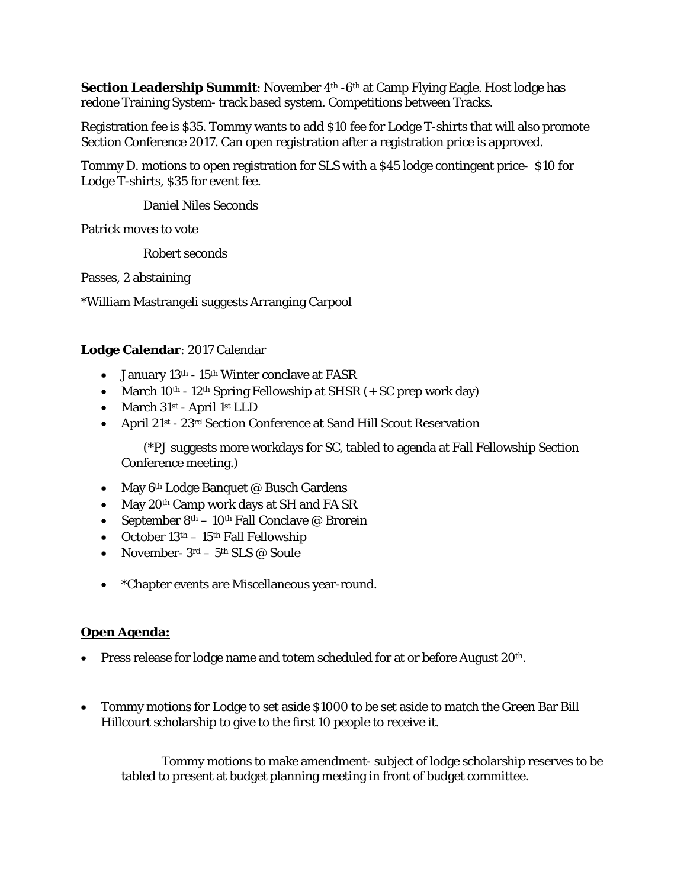**Section Leadership Summit:** November 4<sup>th</sup> -6<sup>th</sup> at Camp Flying Eagle. Host lodge has redone Training System- track based system. Competitions between Tracks.

Registration fee is \$35. Tommy wants to add \$10 fee for Lodge T-shirts that will also promote Section Conference 2017. Can open registration after a registration price is approved.

Tommy D. motions to open registration for SLS with a \$45 lodge contingent price- \$10 for Lodge T-shirts, \$35 for event fee.

Daniel Niles Seconds

Patrick moves to vote

Robert seconds

Passes, 2 abstaining

\*William Mastrangeli suggests Arranging Carpool

## **Lodge Calendar**: 2017 Calendar

- January 13<sup>th</sup> 15<sup>th</sup> Winter conclave at FASR
- March  $10^{th}$   $12^{th}$  Spring Fellowship at SHSR  $(+$  SC prep work day)
- March 31st April 1st LLD
- April 21st 23rd Section Conference at Sand Hill Scout Reservation

(\*PJ suggests more workdays for SC, tabled to agenda at Fall Fellowship Section Conference meeting.)

- May 6<sup>th</sup> Lodge Banquet @ Busch Gardens
- May 20<sup>th</sup> Camp work days at SH and FA SR
- September  $8<sup>th</sup> 10<sup>th</sup>$  Fall Conclave @ Brorein
- October  $13<sup>th</sup> 15<sup>th</sup>$  Fall Fellowship
- November-  $3^{rd}$   $5^{th}$  SLS @ Soule
- \*Chapter events are Miscellaneous year-round.

## **Open Agenda:**

- Press release for lodge name and totem scheduled for at or before August 20<sup>th</sup>.
- Tommy motions for Lodge to set aside \$1000 to be set aside to match the Green Bar Bill Hillcourt scholarship to give to the first 10 people to receive it.

Tommy motions to make amendment- subject of lodge scholarship reserves to be tabled to present at budget planning meeting in front of budget committee.